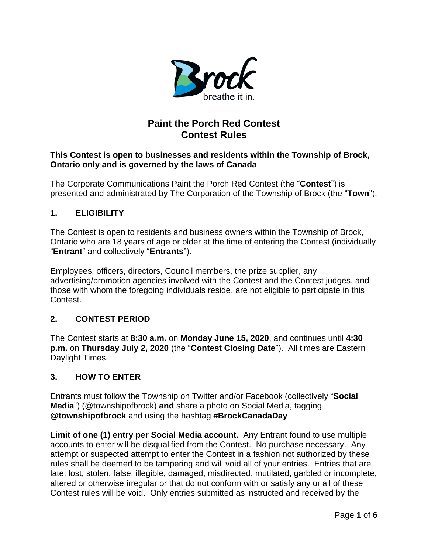

# **Paint the Porch Red Contest Contest Rules**

#### **This Contest is open to businesses and residents within the Township of Brock, Ontario only and is governed by the laws of Canada**

The Corporate Communications Paint the Porch Red Contest (the "**Contest**") is presented and administrated by The Corporation of the Township of Brock (the "**Town**").

### **1. ELIGIBILITY**

The Contest is open to residents and business owners within the Township of Brock, Ontario who are 18 years of age or older at the time of entering the Contest (individually "**Entrant**" and collectively "**Entrants**").

Employees, officers, directors, Council members, the prize supplier, any advertising/promotion agencies involved with the Contest and the Contest judges, and those with whom the foregoing individuals reside, are not eligible to participate in this Contest.

### **2. CONTEST PERIOD**

The Contest starts at **8:30 a.m.** on **Monday June 15, 2020**, and continues until **4:30 p.m.** on **Thursday July 2, 2020** (the "**Contest Closing Date**"). All times are Eastern Daylight Times.

#### **3. HOW TO ENTER**

Entrants must follow the Township on Twitter and/or Facebook (collectively "**Social Media**") (@townshipofbrock) **and** share a photo on Social Media, tagging **@townshipofbrock** and using the hashtag **#BrockCanadaDay**

**Limit of one (1) entry per Social Media account.** Any Entrant found to use multiple accounts to enter will be disqualified from the Contest. No purchase necessary. Any attempt or suspected attempt to enter the Contest in a fashion not authorized by these rules shall be deemed to be tampering and will void all of your entries. Entries that are late, lost, stolen, false, illegible, damaged, misdirected, mutilated, garbled or incomplete, altered or otherwise irregular or that do not conform with or satisfy any or all of these Contest rules will be void. Only entries submitted as instructed and received by the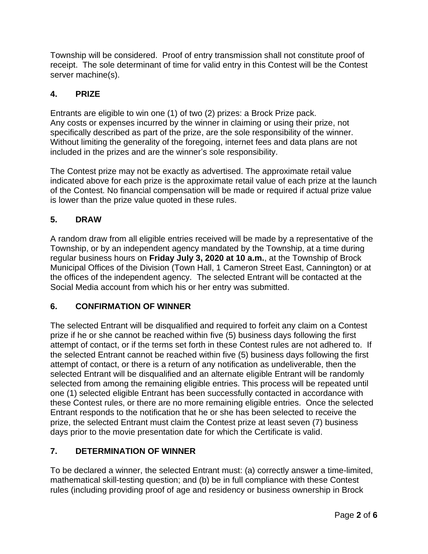Township will be considered. Proof of entry transmission shall not constitute proof of receipt. The sole determinant of time for valid entry in this Contest will be the Contest server machine(s).

## **4. PRIZE**

Entrants are eligible to win one (1) of two (2) prizes: a Brock Prize pack. Any costs or expenses incurred by the winner in claiming or using their prize, not specifically described as part of the prize, are the sole responsibility of the winner. Without limiting the generality of the foregoing, internet fees and data plans are not included in the prizes and are the winner's sole responsibility.

The Contest prize may not be exactly as advertised. The approximate retail value indicated above for each prize is the approximate retail value of each prize at the launch of the Contest. No financial compensation will be made or required if actual prize value is lower than the prize value quoted in these rules.

### **5. DRAW**

A random draw from all eligible entries received will be made by a representative of the Township, or by an independent agency mandated by the Township, at a time during regular business hours on **Friday July 3, 2020 at 10 a.m.**, at the Township of Brock Municipal Offices of the Division (Town Hall, 1 Cameron Street East, Cannington) or at the offices of the independent agency. The selected Entrant will be contacted at the Social Media account from which his or her entry was submitted.

### **6. CONFIRMATION OF WINNER**

The selected Entrant will be disqualified and required to forfeit any claim on a Contest prize if he or she cannot be reached within five (5) business days following the first attempt of contact, or if the terms set forth in these Contest rules are not adhered to. If the selected Entrant cannot be reached within five (5) business days following the first attempt of contact, or there is a return of any notification as undeliverable, then the selected Entrant will be disqualified and an alternate eligible Entrant will be randomly selected from among the remaining eligible entries. This process will be repeated until one (1) selected eligible Entrant has been successfully contacted in accordance with these Contest rules, or there are no more remaining eligible entries. Once the selected Entrant responds to the notification that he or she has been selected to receive the prize, the selected Entrant must claim the Contest prize at least seven (7) business days prior to the movie presentation date for which the Certificate is valid.

### **7. DETERMINATION OF WINNER**

To be declared a winner, the selected Entrant must: (a) correctly answer a time-limited, mathematical skill-testing question; and (b) be in full compliance with these Contest rules (including providing proof of age and residency or business ownership in Brock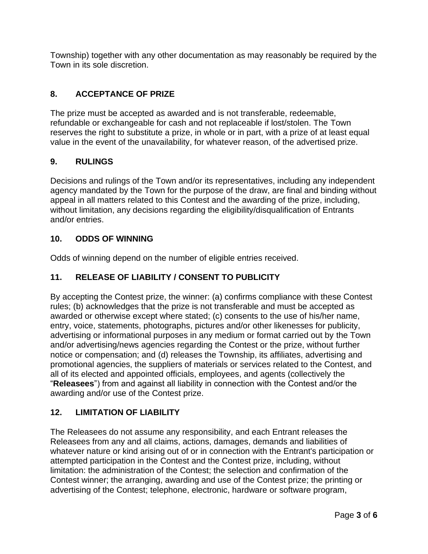Township) together with any other documentation as may reasonably be required by the Town in its sole discretion.

### **8. ACCEPTANCE OF PRIZE**

The prize must be accepted as awarded and is not transferable, redeemable, refundable or exchangeable for cash and not replaceable if lost/stolen. The Town reserves the right to substitute a prize, in whole or in part, with a prize of at least equal value in the event of the unavailability, for whatever reason, of the advertised prize.

### **9. RULINGS**

Decisions and rulings of the Town and/or its representatives, including any independent agency mandated by the Town for the purpose of the draw, are final and binding without appeal in all matters related to this Contest and the awarding of the prize, including, without limitation, any decisions regarding the eligibility/disqualification of Entrants and/or entries.

### **10. ODDS OF WINNING**

Odds of winning depend on the number of eligible entries received.

## **11. RELEASE OF LIABILITY / CONSENT TO PUBLICITY**

By accepting the Contest prize, the winner: (a) confirms compliance with these Contest rules; (b) acknowledges that the prize is not transferable and must be accepted as awarded or otherwise except where stated; (c) consents to the use of his/her name, entry, voice, statements, photographs, pictures and/or other likenesses for publicity, advertising or informational purposes in any medium or format carried out by the Town and/or advertising/news agencies regarding the Contest or the prize, without further notice or compensation; and (d) releases the Township, its affiliates, advertising and promotional agencies, the suppliers of materials or services related to the Contest, and all of its elected and appointed officials, employees, and agents (collectively the "**Releasees**") from and against all liability in connection with the Contest and/or the awarding and/or use of the Contest prize.

### **12. LIMITATION OF LIABILITY**

The Releasees do not assume any responsibility, and each Entrant releases the Releasees from any and all claims, actions, damages, demands and liabilities of whatever nature or kind arising out of or in connection with the Entrant's participation or attempted participation in the Contest and the Contest prize, including, without limitation: the administration of the Contest; the selection and confirmation of the Contest winner; the arranging, awarding and use of the Contest prize; the printing or advertising of the Contest; telephone, electronic, hardware or software program,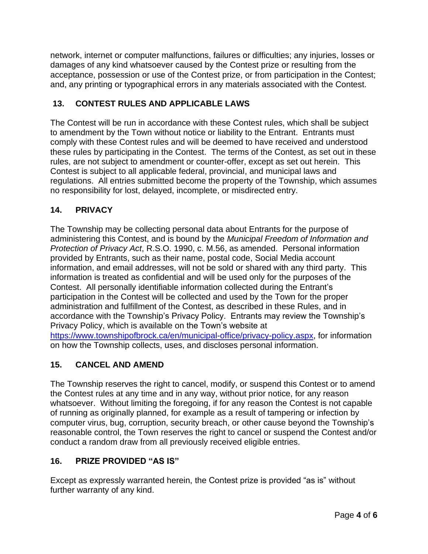network, internet or computer malfunctions, failures or difficulties; any injuries, losses or damages of any kind whatsoever caused by the Contest prize or resulting from the acceptance, possession or use of the Contest prize, or from participation in the Contest; and, any printing or typographical errors in any materials associated with the Contest.

## **13. CONTEST RULES AND APPLICABLE LAWS**

The Contest will be run in accordance with these Contest rules, which shall be subject to amendment by the Town without notice or liability to the Entrant. Entrants must comply with these Contest rules and will be deemed to have received and understood these rules by participating in the Contest. The terms of the Contest, as set out in these rules, are not subject to amendment or counter-offer, except as set out herein. This Contest is subject to all applicable federal, provincial, and municipal laws and regulations. All entries submitted become the property of the Township, which assumes no responsibility for lost, delayed, incomplete, or misdirected entry.

### **14. PRIVACY**

The Township may be collecting personal data about Entrants for the purpose of administering this Contest, and is bound by the *Municipal Freedom of Information and Protection of Privacy Act*, R.S.O. 1990, c. M.56, as amended. Personal information provided by Entrants, such as their name, postal code, Social Media account information, and email addresses, will not be sold or shared with any third party. This information is treated as confidential and will be used only for the purposes of the Contest. All personally identifiable information collected during the Entrant's participation in the Contest will be collected and used by the Town for the proper administration and fulfillment of the Contest, as described in these Rules, and in accordance with the Township's Privacy Policy. Entrants may review the Township's Privacy Policy, which is available on the Town's website at <https://www.townshipofbrock.ca/en/municipal-office/privacy-policy.aspx>, for information on how the Township collects, uses, and discloses personal information.

### **15. CANCEL AND AMEND**

The Township reserves the right to cancel, modify, or suspend this Contest or to amend the Contest rules at any time and in any way, without prior notice, for any reason whatsoever. Without limiting the foregoing, if for any reason the Contest is not capable of running as originally planned, for example as a result of tampering or infection by computer virus, bug, corruption, security breach, or other cause beyond the Township's reasonable control, the Town reserves the right to cancel or suspend the Contest and/or conduct a random draw from all previously received eligible entries.

### **16. PRIZE PROVIDED "AS IS"**

Except as expressly warranted herein, the Contest prize is provided "as is" without further warranty of any kind.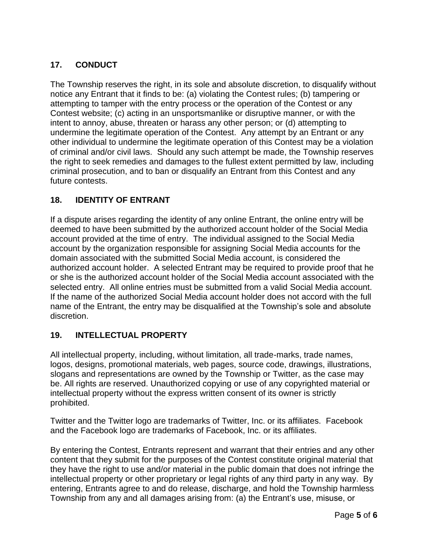## **17. CONDUCT**

The Township reserves the right, in its sole and absolute discretion, to disqualify without notice any Entrant that it finds to be: (a) violating the Contest rules; (b) tampering or attempting to tamper with the entry process or the operation of the Contest or any Contest website; (c) acting in an unsportsmanlike or disruptive manner, or with the intent to annoy, abuse, threaten or harass any other person; or (d) attempting to undermine the legitimate operation of the Contest. Any attempt by an Entrant or any other individual to undermine the legitimate operation of this Contest may be a violation of criminal and/or civil laws. Should any such attempt be made, the Township reserves the right to seek remedies and damages to the fullest extent permitted by law, including criminal prosecution, and to ban or disqualify an Entrant from this Contest and any future contests.

### **18. IDENTITY OF ENTRANT**

If a dispute arises regarding the identity of any online Entrant, the online entry will be deemed to have been submitted by the authorized account holder of the Social Media account provided at the time of entry. The individual assigned to the Social Media account by the organization responsible for assigning Social Media accounts for the domain associated with the submitted Social Media account, is considered the authorized account holder. A selected Entrant may be required to provide proof that he or she is the authorized account holder of the Social Media account associated with the selected entry. All online entries must be submitted from a valid Social Media account. If the name of the authorized Social Media account holder does not accord with the full name of the Entrant, the entry may be disqualified at the Township's sole and absolute discretion.

#### **19. INTELLECTUAL PROPERTY**

All intellectual property, including, without limitation, all trade-marks, trade names, logos, designs, promotional materials, web pages, source code, drawings, illustrations, slogans and representations are owned by the Township or Twitter, as the case may be. All rights are reserved. Unauthorized copying or use of any copyrighted material or intellectual property without the express written consent of its owner is strictly prohibited.

Twitter and the Twitter logo are trademarks of Twitter, Inc. or its affiliates. Facebook and the Facebook logo are trademarks of Facebook, Inc. or its affiliates.

By entering the Contest, Entrants represent and warrant that their entries and any other content that they submit for the purposes of the Contest constitute original material that they have the right to use and/or material in the public domain that does not infringe the intellectual property or other proprietary or legal rights of any third party in any way. By entering, Entrants agree to and do release, discharge, and hold the Township harmless Township from any and all damages arising from: (a) the Entrant's use, misuse, or